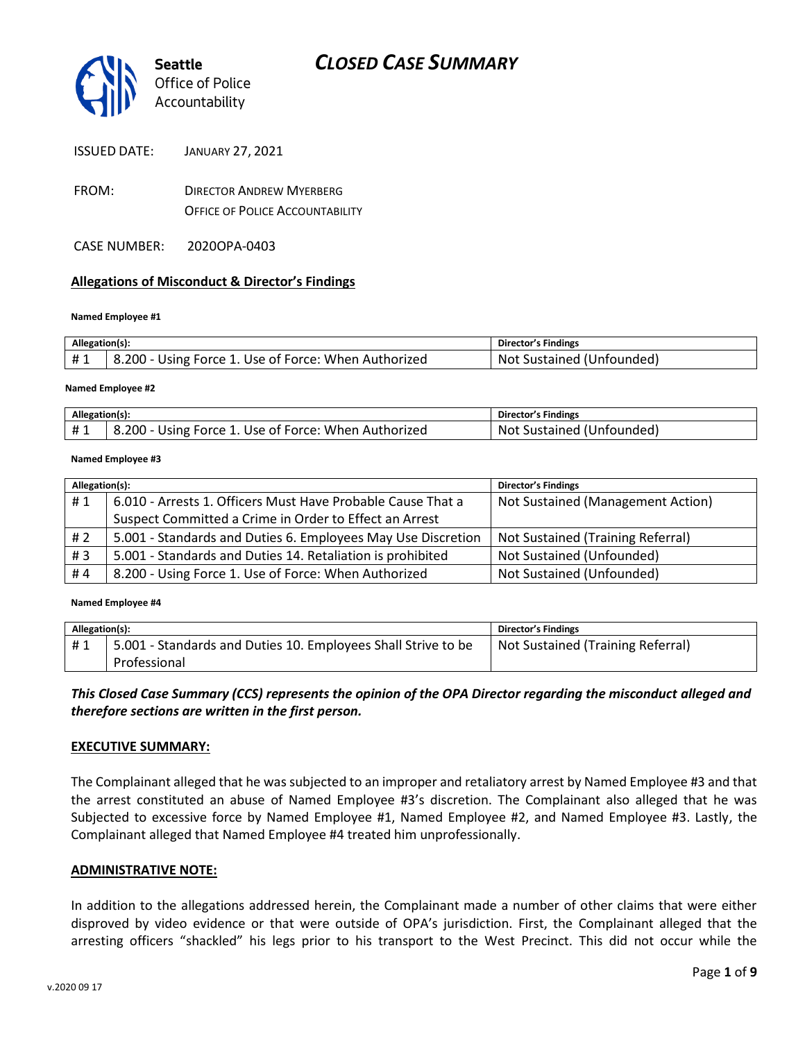

- FROM: DIRECTOR ANDREW MYERBERG OFFICE OF POLICE ACCOUNTABILITY
- CASE NUMBER: 2020OPA-0403

#### **Allegations of Misconduct & Director's Findings**

#### **Named Employee #1**

| Allegation(s): |                                                      | Director's Findings       |
|----------------|------------------------------------------------------|---------------------------|
| #1             | 8.200 - Using Force 1. Use of Force: When Authorized | Not Sustained (Unfounded) |
|                |                                                      |                           |

#### **Named Employee #2**

| Allegation(s): |                                                                | <b>Director's Findings</b>          |
|----------------|----------------------------------------------------------------|-------------------------------------|
| $+$<br>ᅲᆚ      | '۱۔ 200.د<br>. Use of Force: When Authorized<br>Using Force 1. | (Unfounded)<br>Sustained i<br>- Not |

#### **Named Employee #3**

| Allegation(s): |                                                              | <b>Director's Findings</b>        |
|----------------|--------------------------------------------------------------|-----------------------------------|
| #1             | 6.010 - Arrests 1. Officers Must Have Probable Cause That a  | Not Sustained (Management Action) |
|                | Suspect Committed a Crime in Order to Effect an Arrest       |                                   |
| #2             | 5.001 - Standards and Duties 6. Employees May Use Discretion | Not Sustained (Training Referral) |
| #3             | 5.001 - Standards and Duties 14. Retaliation is prohibited   | Not Sustained (Unfounded)         |
| #4             | 8.200 - Using Force 1. Use of Force: When Authorized         | Not Sustained (Unfounded)         |

#### **Named Employee #4**

| Allegation(s): |                                                               | <b>Director's Findings</b>        |
|----------------|---------------------------------------------------------------|-----------------------------------|
| #1             | 5.001 - Standards and Duties 10. Employees Shall Strive to be | Not Sustained (Training Referral) |
|                | Professional                                                  |                                   |

*This Closed Case Summary (CCS) represents the opinion of the OPA Director regarding the misconduct alleged and therefore sections are written in the first person.* 

#### **EXECUTIVE SUMMARY:**

The Complainant alleged that he was subjected to an improper and retaliatory arrest by Named Employee #3 and that the arrest constituted an abuse of Named Employee #3's discretion. The Complainant also alleged that he was Subjected to excessive force by Named Employee #1, Named Employee #2, and Named Employee #3. Lastly, the Complainant alleged that Named Employee #4 treated him unprofessionally.

#### **ADMINISTRATIVE NOTE:**

In addition to the allegations addressed herein, the Complainant made a number of other claims that were either disproved by video evidence or that were outside of OPA's jurisdiction. First, the Complainant alleged that the arresting officers "shackled" his legs prior to his transport to the West Precinct. This did not occur while the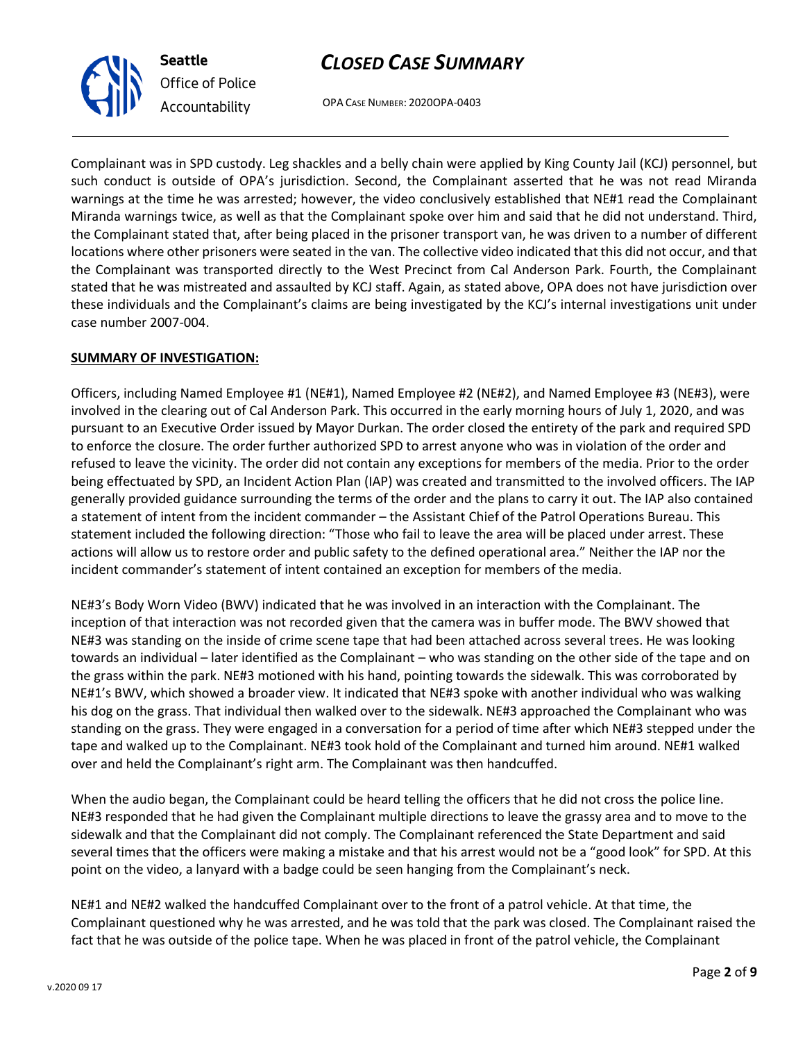OPA CASE NUMBER: 2020OPA-0403

Complainant was in SPD custody. Leg shackles and a belly chain were applied by King County Jail (KCJ) personnel, but such conduct is outside of OPA's jurisdiction. Second, the Complainant asserted that he was not read Miranda warnings at the time he was arrested; however, the video conclusively established that NE#1 read the Complainant Miranda warnings twice, as well as that the Complainant spoke over him and said that he did not understand. Third, the Complainant stated that, after being placed in the prisoner transport van, he was driven to a number of different locations where other prisoners were seated in the van. The collective video indicated that this did not occur, and that the Complainant was transported directly to the West Precinct from Cal Anderson Park. Fourth, the Complainant stated that he was mistreated and assaulted by KCJ staff. Again, as stated above, OPA does not have jurisdiction over these individuals and the Complainant's claims are being investigated by the KCJ's internal investigations unit under case number 2007-004.

#### **SUMMARY OF INVESTIGATION:**

Officers, including Named Employee #1 (NE#1), Named Employee #2 (NE#2), and Named Employee #3 (NE#3), were involved in the clearing out of Cal Anderson Park. This occurred in the early morning hours of July 1, 2020, and was pursuant to an Executive Order issued by Mayor Durkan. The order closed the entirety of the park and required SPD to enforce the closure. The order further authorized SPD to arrest anyone who was in violation of the order and refused to leave the vicinity. The order did not contain any exceptions for members of the media. Prior to the order being effectuated by SPD, an Incident Action Plan (IAP) was created and transmitted to the involved officers. The IAP generally provided guidance surrounding the terms of the order and the plans to carry it out. The IAP also contained a statement of intent from the incident commander – the Assistant Chief of the Patrol Operations Bureau. This statement included the following direction: "Those who fail to leave the area will be placed under arrest. These actions will allow us to restore order and public safety to the defined operational area." Neither the IAP nor the incident commander's statement of intent contained an exception for members of the media.

NE#3's Body Worn Video (BWV) indicated that he was involved in an interaction with the Complainant. The inception of that interaction was not recorded given that the camera was in buffer mode. The BWV showed that NE#3 was standing on the inside of crime scene tape that had been attached across several trees. He was looking towards an individual – later identified as the Complainant – who was standing on the other side of the tape and on the grass within the park. NE#3 motioned with his hand, pointing towards the sidewalk. This was corroborated by NE#1's BWV, which showed a broader view. It indicated that NE#3 spoke with another individual who was walking his dog on the grass. That individual then walked over to the sidewalk. NE#3 approached the Complainant who was standing on the grass. They were engaged in a conversation for a period of time after which NE#3 stepped under the tape and walked up to the Complainant. NE#3 took hold of the Complainant and turned him around. NE#1 walked over and held the Complainant's right arm. The Complainant was then handcuffed.

When the audio began, the Complainant could be heard telling the officers that he did not cross the police line. NE#3 responded that he had given the Complainant multiple directions to leave the grassy area and to move to the sidewalk and that the Complainant did not comply. The Complainant referenced the State Department and said several times that the officers were making a mistake and that his arrest would not be a "good look" for SPD. At this point on the video, a lanyard with a badge could be seen hanging from the Complainant's neck.

NE#1 and NE#2 walked the handcuffed Complainant over to the front of a patrol vehicle. At that time, the Complainant questioned why he was arrested, and he was told that the park was closed. The Complainant raised the fact that he was outside of the police tape. When he was placed in front of the patrol vehicle, the Complainant



**Seattle**

*Office of Police Accountability*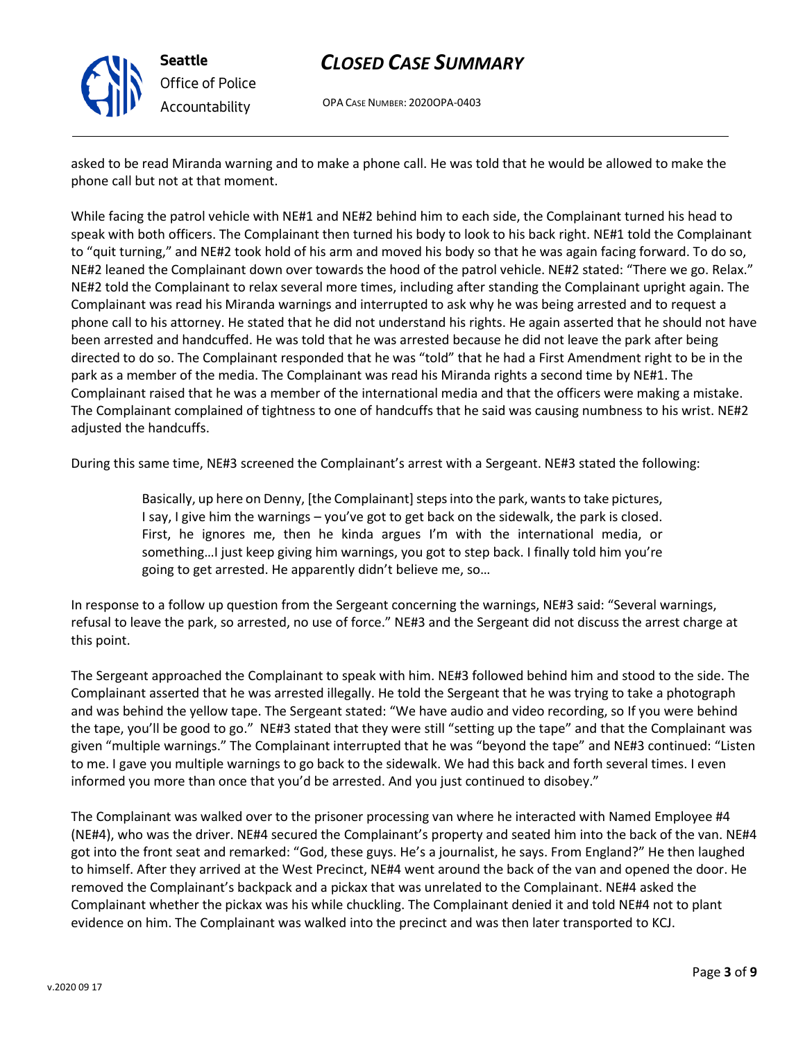

**Seattle** *Office of Police Accountability*

# *CLOSED CASE SUMMARY*

OPA CASE NUMBER: 2020OPA-0403

asked to be read Miranda warning and to make a phone call. He was told that he would be allowed to make the phone call but not at that moment.

While facing the patrol vehicle with NE#1 and NE#2 behind him to each side, the Complainant turned his head to speak with both officers. The Complainant then turned his body to look to his back right. NE#1 told the Complainant to "quit turning," and NE#2 took hold of his arm and moved his body so that he was again facing forward. To do so, NE#2 leaned the Complainant down over towards the hood of the patrol vehicle. NE#2 stated: "There we go. Relax." NE#2 told the Complainant to relax several more times, including after standing the Complainant upright again. The Complainant was read his Miranda warnings and interrupted to ask why he was being arrested and to request a phone call to his attorney. He stated that he did not understand his rights. He again asserted that he should not have been arrested and handcuffed. He was told that he was arrested because he did not leave the park after being directed to do so. The Complainant responded that he was "told" that he had a First Amendment right to be in the park as a member of the media. The Complainant was read his Miranda rights a second time by NE#1. The Complainant raised that he was a member of the international media and that the officers were making a mistake. The Complainant complained of tightness to one of handcuffs that he said was causing numbness to his wrist. NE#2 adjusted the handcuffs.

During this same time, NE#3 screened the Complainant's arrest with a Sergeant. NE#3 stated the following:

Basically, up here on Denny, [the Complainant] steps into the park, wants to take pictures, I say, I give him the warnings – you've got to get back on the sidewalk, the park is closed. First, he ignores me, then he kinda argues I'm with the international media, or something…I just keep giving him warnings, you got to step back. I finally told him you're going to get arrested. He apparently didn't believe me, so…

In response to a follow up question from the Sergeant concerning the warnings, NE#3 said: "Several warnings, refusal to leave the park, so arrested, no use of force." NE#3 and the Sergeant did not discuss the arrest charge at this point.

The Sergeant approached the Complainant to speak with him. NE#3 followed behind him and stood to the side. The Complainant asserted that he was arrested illegally. He told the Sergeant that he was trying to take a photograph and was behind the yellow tape. The Sergeant stated: "We have audio and video recording, so If you were behind the tape, you'll be good to go." NE#3 stated that they were still "setting up the tape" and that the Complainant was given "multiple warnings." The Complainant interrupted that he was "beyond the tape" and NE#3 continued: "Listen to me. I gave you multiple warnings to go back to the sidewalk. We had this back and forth several times. I even informed you more than once that you'd be arrested. And you just continued to disobey."

The Complainant was walked over to the prisoner processing van where he interacted with Named Employee #4 (NE#4), who was the driver. NE#4 secured the Complainant's property and seated him into the back of the van. NE#4 got into the front seat and remarked: "God, these guys. He's a journalist, he says. From England?" He then laughed to himself. After they arrived at the West Precinct, NE#4 went around the back of the van and opened the door. He removed the Complainant's backpack and a pickax that was unrelated to the Complainant. NE#4 asked the Complainant whether the pickax was his while chuckling. The Complainant denied it and told NE#4 not to plant evidence on him. The Complainant was walked into the precinct and was then later transported to KCJ.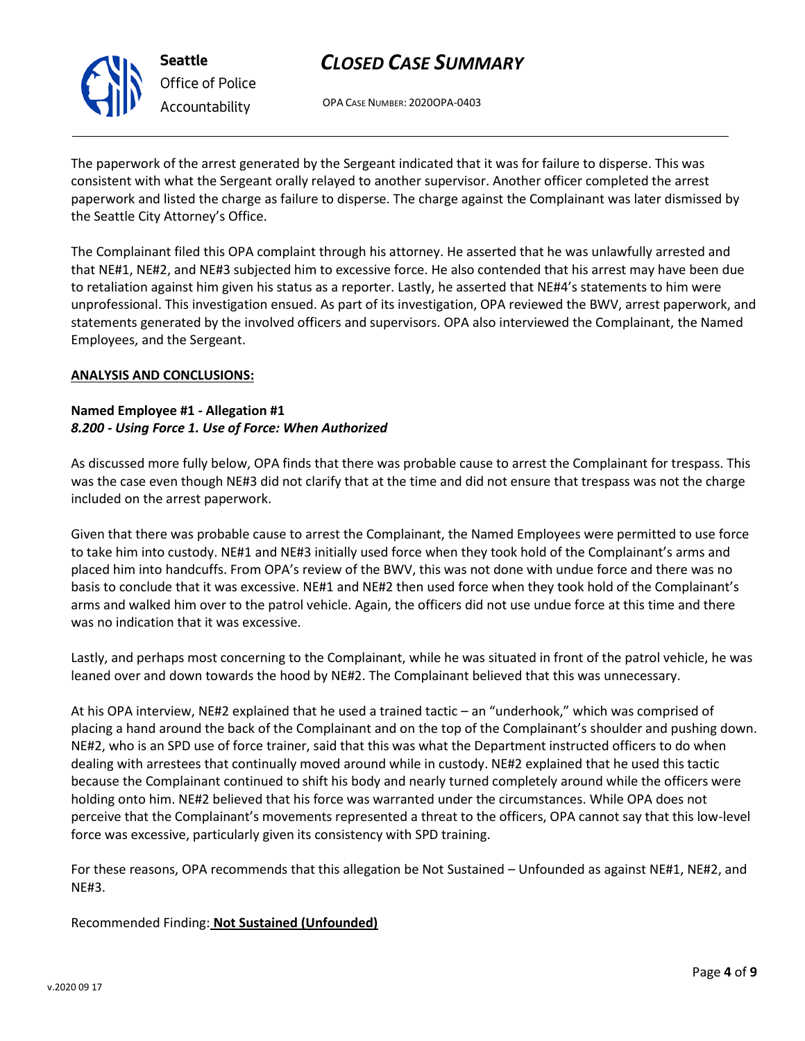

OPA CASE NUMBER: 2020OPA-0403

The paperwork of the arrest generated by the Sergeant indicated that it was for failure to disperse. This was consistent with what the Sergeant orally relayed to another supervisor. Another officer completed the arrest paperwork and listed the charge as failure to disperse. The charge against the Complainant was later dismissed by the Seattle City Attorney's Office.

The Complainant filed this OPA complaint through his attorney. He asserted that he was unlawfully arrested and that NE#1, NE#2, and NE#3 subjected him to excessive force. He also contended that his arrest may have been due to retaliation against him given his status as a reporter. Lastly, he asserted that NE#4's statements to him were unprofessional. This investigation ensued. As part of its investigation, OPA reviewed the BWV, arrest paperwork, and statements generated by the involved officers and supervisors. OPA also interviewed the Complainant, the Named Employees, and the Sergeant.

#### **ANALYSIS AND CONCLUSIONS:**

#### **Named Employee #1 - Allegation #1** *8.200 - Using Force 1. Use of Force: When Authorized*

As discussed more fully below, OPA finds that there was probable cause to arrest the Complainant for trespass. This was the case even though NE#3 did not clarify that at the time and did not ensure that trespass was not the charge included on the arrest paperwork.

Given that there was probable cause to arrest the Complainant, the Named Employees were permitted to use force to take him into custody. NE#1 and NE#3 initially used force when they took hold of the Complainant's arms and placed him into handcuffs. From OPA's review of the BWV, this was not done with undue force and there was no basis to conclude that it was excessive. NE#1 and NE#2 then used force when they took hold of the Complainant's arms and walked him over to the patrol vehicle. Again, the officers did not use undue force at this time and there was no indication that it was excessive.

Lastly, and perhaps most concerning to the Complainant, while he was situated in front of the patrol vehicle, he was leaned over and down towards the hood by NE#2. The Complainant believed that this was unnecessary.

At his OPA interview, NE#2 explained that he used a trained tactic – an "underhook," which was comprised of placing a hand around the back of the Complainant and on the top of the Complainant's shoulder and pushing down. NE#2, who is an SPD use of force trainer, said that this was what the Department instructed officers to do when dealing with arrestees that continually moved around while in custody. NE#2 explained that he used this tactic because the Complainant continued to shift his body and nearly turned completely around while the officers were holding onto him. NE#2 believed that his force was warranted under the circumstances. While OPA does not perceive that the Complainant's movements represented a threat to the officers, OPA cannot say that this low-level force was excessive, particularly given its consistency with SPD training.

For these reasons, OPA recommends that this allegation be Not Sustained – Unfounded as against NE#1, NE#2, and NE#3.

### Recommended Finding: **Not Sustained (Unfounded)**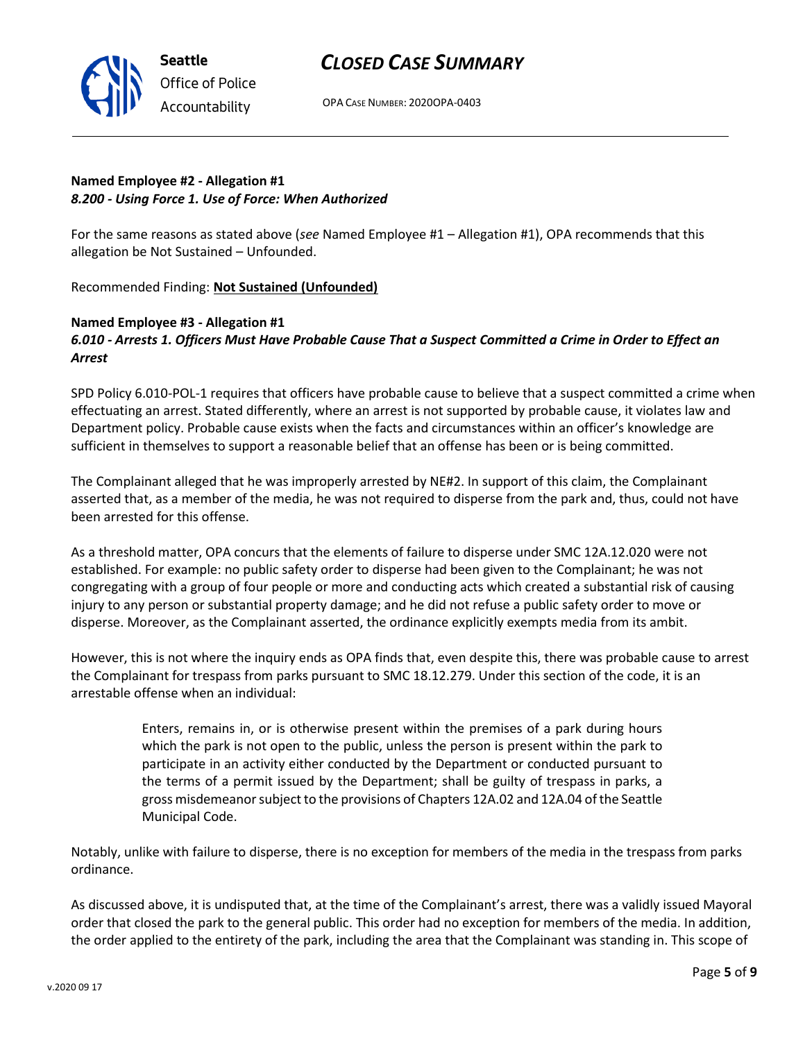

OPA CASE NUMBER: 2020OPA-0403

### **Named Employee #2 - Allegation #1** *8.200 - Using Force 1. Use of Force: When Authorized*

For the same reasons as stated above (*see* Named Employee #1 – Allegation #1), OPA recommends that this allegation be Not Sustained – Unfounded.

Recommended Finding: **Not Sustained (Unfounded)**

### **Named Employee #3 - Allegation #1** *6.010 - Arrests 1. Officers Must Have Probable Cause That a Suspect Committed a Crime in Order to Effect an Arrest*

SPD Policy 6.010-POL-1 requires that officers have probable cause to believe that a suspect committed a crime when effectuating an arrest. Stated differently, where an arrest is not supported by probable cause, it violates law and Department policy. Probable cause exists when the facts and circumstances within an officer's knowledge are sufficient in themselves to support a reasonable belief that an offense has been or is being committed.

The Complainant alleged that he was improperly arrested by NE#2. In support of this claim, the Complainant asserted that, as a member of the media, he was not required to disperse from the park and, thus, could not have been arrested for this offense.

As a threshold matter, OPA concurs that the elements of failure to disperse under SMC 12A.12.020 were not established. For example: no public safety order to disperse had been given to the Complainant; he was not congregating with a group of four people or more and conducting acts which created a substantial risk of causing injury to any person or substantial property damage; and he did not refuse a public safety order to move or disperse. Moreover, as the Complainant asserted, the ordinance explicitly exempts media from its ambit.

However, this is not where the inquiry ends as OPA finds that, even despite this, there was probable cause to arrest the Complainant for trespass from parks pursuant to SMC 18.12.279. Under this section of the code, it is an arrestable offense when an individual:

> Enters, remains in, or is otherwise present within the premises of a park during hours which the park is not open to the public, unless the person is present within the park to participate in an activity either conducted by the Department or conducted pursuant to the terms of a permit issued by the Department; shall be guilty of trespass in parks, a gross misdemeanor subject to the provisions of Chapters 12A.02 and 12A.04 of the Seattle Municipal Code.

Notably, unlike with failure to disperse, there is no exception for members of the media in the trespass from parks ordinance.

As discussed above, it is undisputed that, at the time of the Complainant's arrest, there was a validly issued Mayoral order that closed the park to the general public. This order had no exception for members of the media. In addition, the order applied to the entirety of the park, including the area that the Complainant was standing in. This scope of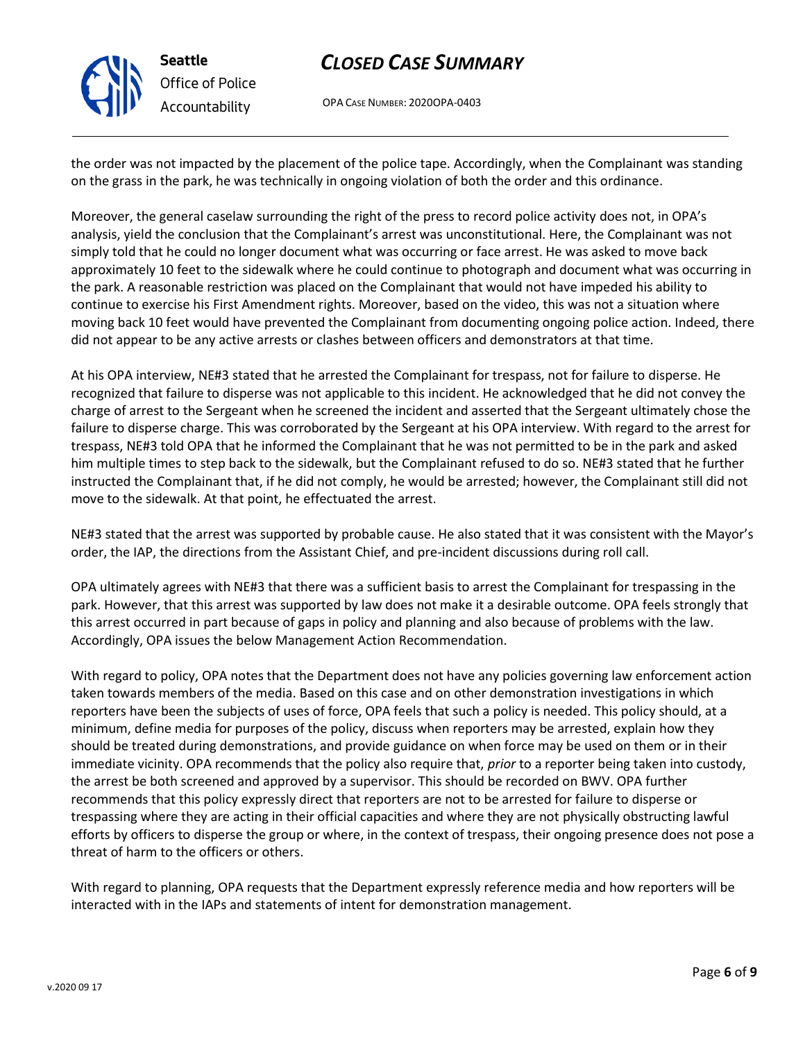

**Seattle** *Office of Police Accountability*

# *CLOSED CASE SUMMARY*

OPA CASE NUMBER: 2020OPA-0403

the order was not impacted by the placement of the police tape. Accordingly, when the Complainant was standing on the grass in the park, he was technically in ongoing violation of both the order and this ordinance.

Moreover, the general caselaw surrounding the right of the press to record police activity does not, in OPA's analysis, yield the conclusion that the Complainant's arrest was unconstitutional. Here, the Complainant was not simply told that he could no longer document what was occurring or face arrest. He was asked to move back approximately 10 feet to the sidewalk where he could continue to photograph and document what was occurring in the park. A reasonable restriction was placed on the Complainant that would not have impeded his ability to continue to exercise his First Amendment rights. Moreover, based on the video, this was not a situation where moving back 10 feet would have prevented the Complainant from documenting ongoing police action. Indeed, there did not appear to be any active arrests or clashes between officers and demonstrators at that time.

At his OPA interview, NE#3 stated that he arrested the Complainant for trespass, not for failure to disperse. He recognized that failure to disperse was not applicable to this incident. He acknowledged that he did not convey the charge of arrest to the Sergeant when he screened the incident and asserted that the Sergeant ultimately chose the failure to disperse charge. This was corroborated by the Sergeant at his OPA interview. With regard to the arrest for trespass, NE#3 told OPA that he informed the Complainant that he was not permitted to be in the park and asked him multiple times to step back to the sidewalk, but the Complainant refused to do so. NE#3 stated that he further instructed the Complainant that, if he did not comply, he would be arrested; however, the Complainant still did not move to the sidewalk. At that point, he effectuated the arrest.

NE#3 stated that the arrest was supported by probable cause. He also stated that it was consistent with the Mayor's order, the IAP, the directions from the Assistant Chief, and pre-incident discussions during roll call.

OPA ultimately agrees with NE#3 that there was a sufficient basis to arrest the Complainant for trespassing in the park. However, that this arrest was supported by law does not make it a desirable outcome. OPA feels strongly that this arrest occurred in part because of gaps in policy and planning and also because of problems with the law. Accordingly, OPA issues the below Management Action Recommendation.

With regard to policy, OPA notes that the Department does not have any policies governing law enforcement action taken towards members of the media. Based on this case and on other demonstration investigations in which reporters have been the subjects of uses of force, OPA feels that such a policy is needed. This policy should, at a minimum, define media for purposes of the policy, discuss when reporters may be arrested, explain how they should be treated during demonstrations, and provide guidance on when force may be used on them or in their immediate vicinity. OPA recommends that the policy also require that, *prior* to a reporter being taken into custody, the arrest be both screened and approved by a supervisor. This should be recorded on BWV. OPA further recommends that this policy expressly direct that reporters are not to be arrested for failure to disperse or trespassing where they are acting in their official capacities and where they are not physically obstructing lawful efforts by officers to disperse the group or where, in the context of trespass, their ongoing presence does not pose a threat of harm to the officers or others.

With regard to planning, OPA requests that the Department expressly reference media and how reporters will be interacted with in the IAPs and statements of intent for demonstration management.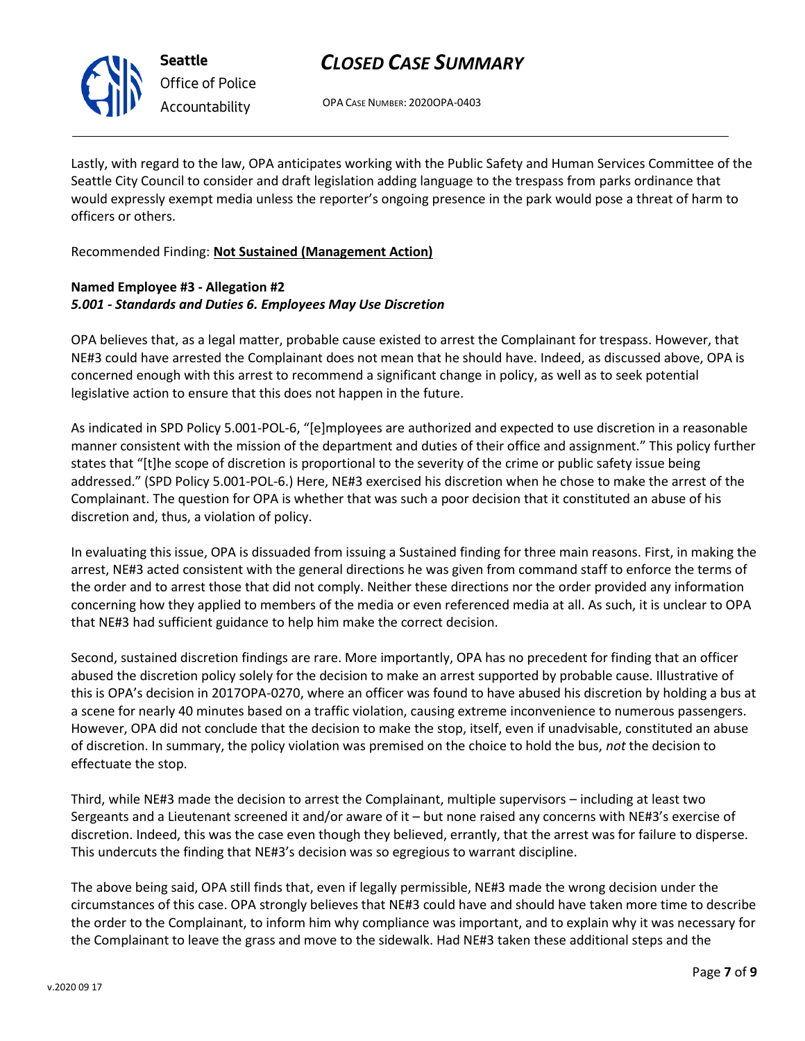

**Seattle** *Office of Police Accountability*

## *CLOSED CASE SUMMARY*

OPA CASE NUMBER: 2020OPA-0403

Lastly, with regard to the law, OPA anticipates working with the Public Safety and Human Services Committee of the Seattle City Council to consider and draft legislation adding language to the trespass from parks ordinance that would expressly exempt media unless the reporter's ongoing presence in the park would pose a threat of harm to officers or others.

Recommended Finding: **Not Sustained (Management Action)**

### **Named Employee #3 - Allegation #2** *5.001 - Standards and Duties 6. Employees May Use Discretion*

OPA believes that, as a legal matter, probable cause existed to arrest the Complainant for trespass. However, that NE#3 could have arrested the Complainant does not mean that he should have. Indeed, as discussed above, OPA is concerned enough with this arrest to recommend a significant change in policy, as well as to seek potential legislative action to ensure that this does not happen in the future.

As indicated in SPD Policy 5.001-POL-6, "[e]mployees are authorized and expected to use discretion in a reasonable manner consistent with the mission of the department and duties of their office and assignment." This policy further states that "[t]he scope of discretion is proportional to the severity of the crime or public safety issue being addressed." (SPD Policy 5.001-POL-6.) Here, NE#3 exercised his discretion when he chose to make the arrest of the Complainant. The question for OPA is whether that was such a poor decision that it constituted an abuse of his discretion and, thus, a violation of policy.

In evaluating this issue, OPA is dissuaded from issuing a Sustained finding for three main reasons. First, in making the arrest, NE#3 acted consistent with the general directions he was given from command staff to enforce the terms of the order and to arrest those that did not comply. Neither these directions nor the order provided any information concerning how they applied to members of the media or even referenced media at all. As such, it is unclear to OPA that NE#3 had sufficient guidance to help him make the correct decision.

Second, sustained discretion findings are rare. More importantly, OPA has no precedent for finding that an officer abused the discretion policy solely for the decision to make an arrest supported by probable cause. Illustrative of this is OPA's decision in 2017OPA-0270, where an officer was found to have abused his discretion by holding a bus at a scene for nearly 40 minutes based on a traffic violation, causing extreme inconvenience to numerous passengers. However, OPA did not conclude that the decision to make the stop, itself, even if unadvisable, constituted an abuse of discretion. In summary, the policy violation was premised on the choice to hold the bus, *not* the decision to effectuate the stop.

Third, while NE#3 made the decision to arrest the Complainant, multiple supervisors – including at least two Sergeants and a Lieutenant screened it and/or aware of it – but none raised any concerns with NE#3's exercise of discretion. Indeed, this was the case even though they believed, errantly, that the arrest was for failure to disperse. This undercuts the finding that NE#3's decision was so egregious to warrant discipline.

The above being said, OPA still finds that, even if legally permissible, NE#3 made the wrong decision under the circumstances of this case. OPA strongly believes that NE#3 could have and should have taken more time to describe the order to the Complainant, to inform him why compliance was important, and to explain why it was necessary for the Complainant to leave the grass and move to the sidewalk. Had NE#3 taken these additional steps and the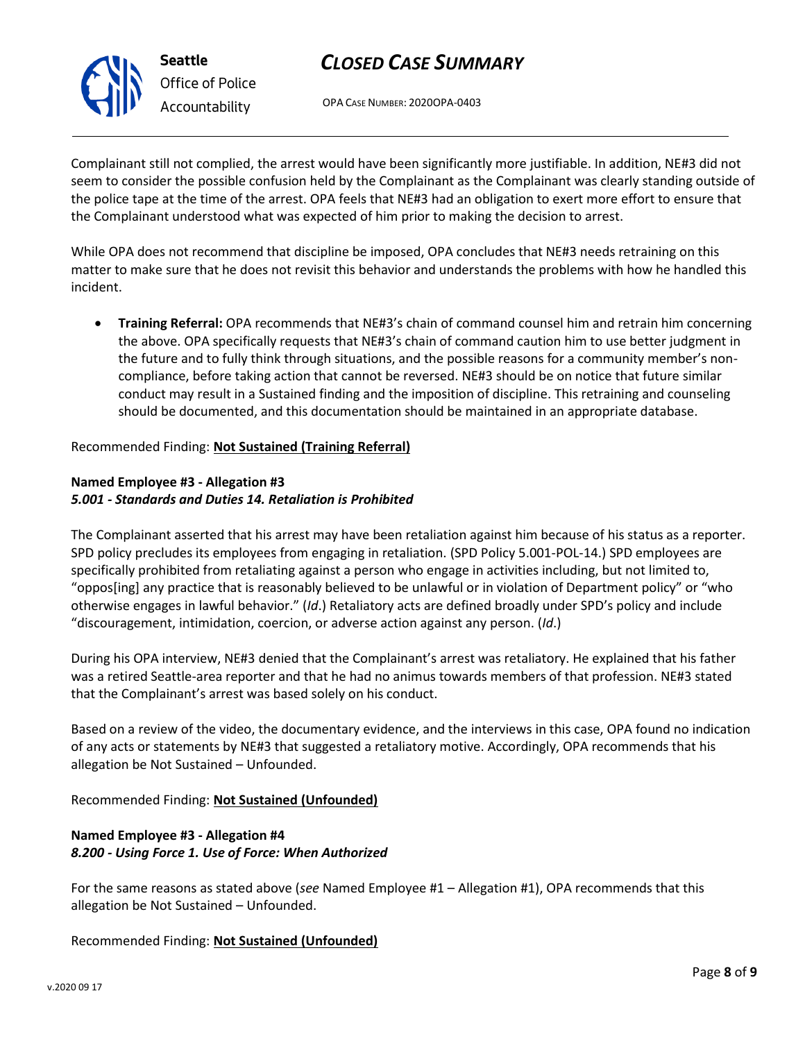

OPA CASE NUMBER: 2020OPA-0403

Complainant still not complied, the arrest would have been significantly more justifiable. In addition, NE#3 did not seem to consider the possible confusion held by the Complainant as the Complainant was clearly standing outside of the police tape at the time of the arrest. OPA feels that NE#3 had an obligation to exert more effort to ensure that the Complainant understood what was expected of him prior to making the decision to arrest.

While OPA does not recommend that discipline be imposed, OPA concludes that NE#3 needs retraining on this matter to make sure that he does not revisit this behavior and understands the problems with how he handled this incident.

• **Training Referral:** OPA recommends that NE#3's chain of command counsel him and retrain him concerning the above. OPA specifically requests that NE#3's chain of command caution him to use better judgment in the future and to fully think through situations, and the possible reasons for a community member's noncompliance, before taking action that cannot be reversed. NE#3 should be on notice that future similar conduct may result in a Sustained finding and the imposition of discipline. This retraining and counseling should be documented, and this documentation should be maintained in an appropriate database.

Recommended Finding: **Not Sustained (Training Referral)**

### **Named Employee #3 - Allegation #3** *5.001 - Standards and Duties 14. Retaliation is Prohibited*

The Complainant asserted that his arrest may have been retaliation against him because of his status as a reporter. SPD policy precludes its employees from engaging in retaliation. (SPD Policy 5.001-POL-14.) SPD employees are specifically prohibited from retaliating against a person who engage in activities including, but not limited to, "oppos[ing] any practice that is reasonably believed to be unlawful or in violation of Department policy" or "who otherwise engages in lawful behavior." (*Id*.) Retaliatory acts are defined broadly under SPD's policy and include "discouragement, intimidation, coercion, or adverse action against any person. (*Id*.)

During his OPA interview, NE#3 denied that the Complainant's arrest was retaliatory. He explained that his father was a retired Seattle-area reporter and that he had no animus towards members of that profession. NE#3 stated that the Complainant's arrest was based solely on his conduct.

Based on a review of the video, the documentary evidence, and the interviews in this case, OPA found no indication of any acts or statements by NE#3 that suggested a retaliatory motive. Accordingly, OPA recommends that his allegation be Not Sustained – Unfounded.

Recommended Finding: **Not Sustained (Unfounded)**

### **Named Employee #3 - Allegation #4** *8.200 - Using Force 1. Use of Force: When Authorized*

For the same reasons as stated above (*see* Named Employee #1 – Allegation #1), OPA recommends that this allegation be Not Sustained – Unfounded.

Recommended Finding: **Not Sustained (Unfounded)**